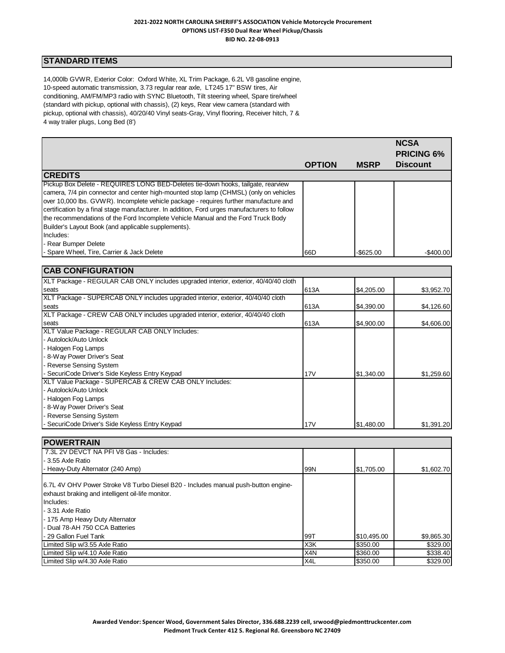# **STANDARD ITEMS**

14,000lb GVWR, Exterior Color: Oxford White, XL Trim Package, 6.2L V8 gasoline engine, 10-speed automatic transmission, 3.73 regular rear axle, LT245 17" BSW tires, Air conditioning, AM/FM/MP3 radio with SYNC Bluetooth, Tilt steering wheel, Spare tire/wheel (standard with pickup, optional with chassis), (2) keys, Rear view camera (standard with pickup, optional with chassis), 40/20/40 Vinyl seats-Gray, Vinyl flooring, Receiver hitch, 7 & 4 way trailer plugs, Long Bed (8')

|                                                                                                                                                                                                                                                                                                                                                                                                                                                                                                                                                     |               |              | <b>NCSA</b><br><b>PRICING 6%</b> |
|-----------------------------------------------------------------------------------------------------------------------------------------------------------------------------------------------------------------------------------------------------------------------------------------------------------------------------------------------------------------------------------------------------------------------------------------------------------------------------------------------------------------------------------------------------|---------------|--------------|----------------------------------|
|                                                                                                                                                                                                                                                                                                                                                                                                                                                                                                                                                     | <b>OPTION</b> | <b>MSRP</b>  | <b>Discount</b>                  |
| <b>CREDITS</b>                                                                                                                                                                                                                                                                                                                                                                                                                                                                                                                                      |               |              |                                  |
| Pickup Box Delete - REQUIRES LONG BED-Deletes tie-down hooks, tailgate, rearview<br>camera, 7/4 pin connector and center high-mounted stop lamp (CHMSL) (only on vehicles<br>over 10,000 lbs. GVWR). Incomplete vehicle package - requires further manufacture and<br>certification by a final stage manufacturer. In addition, Ford urges manufacturers to follow<br>the recommendations of the Ford Incomplete Vehicle Manual and the Ford Truck Body<br>Builder's Layout Book (and applicable supplements).<br>Includes:<br>- Rear Bumper Delete |               |              |                                  |
| - Spare Wheel, Tire, Carrier & Jack Delete                                                                                                                                                                                                                                                                                                                                                                                                                                                                                                          | 66D           | $-$ \$625.00 | $-$ \$400.00                     |

| <b>CAB CONFIGURATION</b>                                                            |      |            |            |
|-------------------------------------------------------------------------------------|------|------------|------------|
| XLT Package - REGULAR CAB ONLY includes upgraded interior, exterior, 40/40/40 cloth |      |            |            |
| seats                                                                               | 613A | \$4,205.00 | \$3,952.70 |
| XLT Package - SUPERCAB ONLY includes upgraded interior, exterior, 40/40/40 cloth    |      |            |            |
| seats                                                                               | 613A | \$4,390.00 | \$4,126.60 |
| XLT Package - CREW CAB ONLY includes upgraded interior, exterior, 40/40/40 cloth    |      |            |            |
| seats                                                                               | 613A | \$4,900.00 | \$4,606.00 |
| XLT Value Package - REGULAR CAB ONLY Includes:                                      |      |            |            |
| - Autolock/Auto Unlock                                                              |      |            |            |
| - Halogen Fog Lamps                                                                 |      |            |            |
| - 8-Way Power Driver's Seat                                                         |      |            |            |
| - Reverse Sensing System                                                            |      |            |            |
| SecuriCode Driver's Side Keyless Entry Keypad                                       | 17V  | \$1,340.00 | \$1,259.60 |
| XLT Value Package - SUPERCAB & CREW CAB ONLY Includes:                              |      |            |            |
| - Autolock/Auto Unlock                                                              |      |            |            |
| - Halogen Fog Lamps                                                                 |      |            |            |
| - 8-Way Power Driver's Seat                                                         |      |            |            |
| - Reverse Sensing System                                                            |      |            |            |
| SecuriCode Driver's Side Keyless Entry Keypad                                       | 17V  | \$1,480.00 | \$1,391.20 |

| <b>IPOWERTRAIN</b>                                                                                                                                                                                                                              |                  |             |            |
|-------------------------------------------------------------------------------------------------------------------------------------------------------------------------------------------------------------------------------------------------|------------------|-------------|------------|
| 7.3L 2V DEVCT NA PFI V8 Gas - Includes:                                                                                                                                                                                                         |                  |             |            |
| - 3.55 Axle Ratio                                                                                                                                                                                                                               |                  |             |            |
| - Heavy-Duty Alternator (240 Amp)                                                                                                                                                                                                               | 99N              | \$1,705.00  | \$1,602.70 |
| 16.7L 4V OHV Power Stroke V8 Turbo Diesel B20 - Includes manual push-button engine-<br>exhaust braking and intelligent oil-life monitor.<br>Includes:<br>- 3.31 Axle Ratio<br>- 175 Amp Heavy Duty Alternator<br>- Dual 78-AH 750 CCA Batteries |                  |             |            |
| - 29 Gallon Fuel Tank                                                                                                                                                                                                                           | 99T              | \$10,495.00 | \$9,865.30 |
| Limited Slip w/3.55 Axle Ratio                                                                                                                                                                                                                  | X <sub>3</sub> K | \$350.00    | \$329.00   |
| Limited Slip w/4.10 Axle Ratio                                                                                                                                                                                                                  | X <sub>4</sub> N | \$360.00    | \$338.40   |
| Limited Slip w/4.30 Axle Ratio                                                                                                                                                                                                                  | X <sub>4</sub> L | \$350.00    | \$329.00   |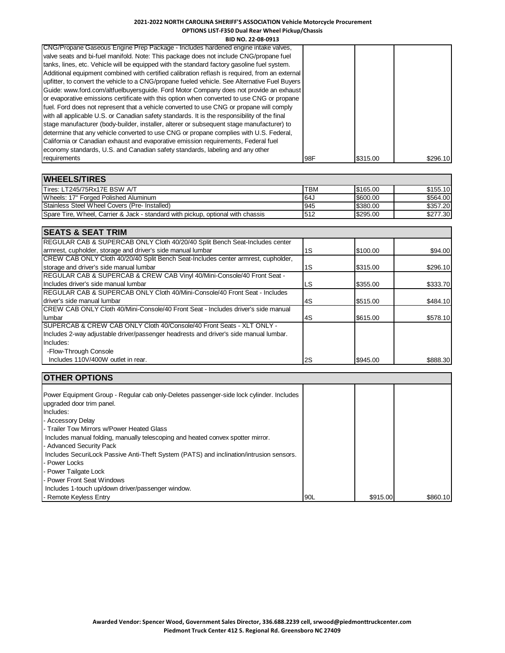**BID NO. 22-08-0913**

| CNG/Propane Gaseous Engine Prep Package - Includes hardened engine intake valves,              |     |          |          |
|------------------------------------------------------------------------------------------------|-----|----------|----------|
|                                                                                                |     |          |          |
| valve seats and bi-fuel manifold. Note: This package does not include CNG/propane fuel         |     |          |          |
| tanks, lines, etc. Vehicle will be equipped with the standard factory gasoline fuel system.    |     |          |          |
| Additional equipment combined with certified calibration reflash is required, from an external |     |          |          |
| upfitter, to convert the vehicle to a CNG/propane fueled vehicle. See Alternative Fuel Buyers  |     |          |          |
| Guide: www.ford.com/altfuelbuyersguide. Ford Motor Company does not provide an exhaust         |     |          |          |
| or evaporative emissions certificate with this option when converted to use CNG or propane     |     |          |          |
| fuel. Ford does not represent that a vehicle converted to use CNG or propane will comply       |     |          |          |
| with all applicable U.S. or Canadian safety standards. It is the responsibility of the final   |     |          |          |
| stage manufacturer (body-builder, installer, alterer or subsequent stage manufacturer) to      |     |          |          |
| determine that any vehicle converted to use CNG or propane complies with U.S. Federal,         |     |          |          |
| California or Canadian exhaust and evaporative emission requirements, Federal fuel             |     |          |          |
| economy standards, U.S. and Canadian safety standards, labeling and any other                  |     |          |          |
| requirements                                                                                   | 98F | \$315.00 | \$296.10 |

| <b>WHEELS/TIRES</b>                                                             |            |          |          |
|---------------------------------------------------------------------------------|------------|----------|----------|
| Tires: LT245/75Rx17E BSW A/T                                                    | <b>TBM</b> | \$165.00 | \$155.10 |
| Wheels: 17" Forged Polished Aluminum                                            | د164       | \$600.00 | \$564.00 |
| Stainless Steel Wheel Covers (Pre- Installed)                                   | 945        | \$380.00 | \$357.20 |
| Spare Tire, Wheel, Carrier & Jack - standard with pickup, optional with chassis | 512        | \$295.00 | \$277.30 |

| <b>SEATS &amp; SEAT TRIM</b>                                                           |               |          |          |
|----------------------------------------------------------------------------------------|---------------|----------|----------|
| REGULAR CAB & SUPERCAB ONLY Cloth 40/20/40 Split Bench Seat-Includes center            |               |          |          |
| armrest, cupholder, storage and driver's side manual lumbar                            | 1S            | \$100.00 | \$94.00  |
| CREW CAB ONLY Cloth 40/20/40 Split Bench Seat-Includes center armrest, cupholder,      |               |          |          |
| storage and driver's side manual lumbar                                                | 1S            | \$315.00 | \$296.10 |
| REGULAR CAB & SUPERCAB & CREW CAB Vinyl 40/Mini-Console/40 Front Seat -                |               |          |          |
| Includes driver's side manual lumbar                                                   | LS            | \$355.00 | \$333.70 |
| <b>IREGULAR CAB &amp; SUPERCAB ONLY Cloth 40/Mini-Console/40 Front Seat - Includes</b> |               |          |          |
| driver's side manual lumbar                                                            | l4S           | \$515.00 | \$484.10 |
| CREW CAB ONLY Cloth 40/Mini-Console/40 Front Seat - Includes driver's side manual      |               |          |          |
| lumbar                                                                                 | l4S           | \$615.00 | \$578.10 |
| SUPERCAB & CREW CAB ONLY Cloth 40/Console/40 Front Seats - XLT ONLY -                  |               |          |          |
| Includes 2-way adjustable driver/passenger headrests and driver's side manual lumbar.  |               |          |          |
| Includes:                                                                              |               |          |          |
| -Flow-Through Console                                                                  |               |          |          |
| Includes 110V/400W outlet in rear.                                                     | <sup>2S</sup> | \$945.00 | \$888.30 |

| <b>OTHER OPTIONS</b>                                                                    |     |          |          |
|-----------------------------------------------------------------------------------------|-----|----------|----------|
|                                                                                         |     |          |          |
| Power Equipment Group - Regular cab only-Deletes passenger-side lock cylinder. Includes |     |          |          |
| upgraded door trim panel.                                                               |     |          |          |
| Includes:                                                                               |     |          |          |
| - Accessory Delay                                                                       |     |          |          |
| - Trailer Tow Mirrors w/Power Heated Glass                                              |     |          |          |
| Includes manual folding, manually telescoping and heated convex spotter mirror.         |     |          |          |
| - Advanced Security Pack                                                                |     |          |          |
| Includes SecuriLock Passive Anti-Theft System (PATS) and inclination/intrusion sensors. |     |          |          |
| - Power Locks                                                                           |     |          |          |
| - Power Tailgate Lock                                                                   |     |          |          |
| - Power Front Seat Windows                                                              |     |          |          |
| Includes 1-touch up/down driver/passenger window.                                       |     |          |          |
| - Remote Keyless Entry                                                                  | 90L | \$915.00 | \$860.10 |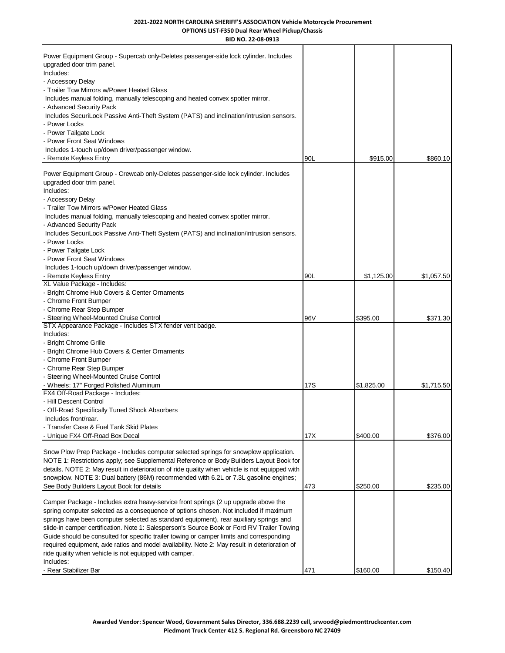| BID NO. 22-08-0913                                                                                                                                                                         |      |            |            |
|--------------------------------------------------------------------------------------------------------------------------------------------------------------------------------------------|------|------------|------------|
| Power Equipment Group - Supercab only-Deletes passenger-side lock cylinder. Includes<br>upgraded door trim panel.<br>Includes:                                                             |      |            |            |
| - Accessory Delay                                                                                                                                                                          |      |            |            |
| - Trailer Tow Mirrors w/Power Heated Glass                                                                                                                                                 |      |            |            |
| Includes manual folding, manually telescoping and heated convex spotter mirror.                                                                                                            |      |            |            |
| - Advanced Security Pack                                                                                                                                                                   |      |            |            |
| Includes SecuriLock Passive Anti-Theft System (PATS) and inclination/intrusion sensors.                                                                                                    |      |            |            |
| Power Locks                                                                                                                                                                                |      |            |            |
| - Power Tailgate Lock                                                                                                                                                                      |      |            |            |
| - Power Front Seat Windows                                                                                                                                                                 |      |            |            |
| Includes 1-touch up/down driver/passenger window.                                                                                                                                          |      |            |            |
| - Remote Keyless Entry                                                                                                                                                                     | 90L  | \$915.00   | \$860.10   |
| Power Equipment Group - Crewcab only-Deletes passenger-side lock cylinder. Includes                                                                                                        |      |            |            |
| upgraded door trim panel.                                                                                                                                                                  |      |            |            |
| Includes:                                                                                                                                                                                  |      |            |            |
| - Accessory Delay                                                                                                                                                                          |      |            |            |
| - Trailer Tow Mirrors w/Power Heated Glass                                                                                                                                                 |      |            |            |
| Includes manual folding, manually telescoping and heated convex spotter mirror.                                                                                                            |      |            |            |
| - Advanced Security Pack                                                                                                                                                                   |      |            |            |
| Includes SecuriLock Passive Anti-Theft System (PATS) and inclination/intrusion sensors.                                                                                                    |      |            |            |
| Power Locks                                                                                                                                                                                |      |            |            |
| Power Tailgate Lock                                                                                                                                                                        |      |            |            |
| <b>Power Front Seat Windows</b>                                                                                                                                                            |      |            |            |
| Includes 1-touch up/down driver/passenger window.                                                                                                                                          |      |            |            |
| Remote Keyless Entry                                                                                                                                                                       | 90L  | \$1,125.00 | \$1,057.50 |
| XL Value Package - Includes:<br>Bright Chrome Hub Covers & Center Ornaments                                                                                                                |      |            |            |
| <b>Chrome Front Bumper</b>                                                                                                                                                                 |      |            |            |
| Chrome Rear Step Bumper                                                                                                                                                                    |      |            |            |
| Steering Wheel-Mounted Cruise Control                                                                                                                                                      | 96 V | \$395.00   | \$371.30   |
| STX Appearance Package - Includes STX fender vent badge.                                                                                                                                   |      |            |            |
| Includes:                                                                                                                                                                                  |      |            |            |
| <b>Bright Chrome Grille</b>                                                                                                                                                                |      |            |            |
| Bright Chrome Hub Covers & Center Ornaments                                                                                                                                                |      |            |            |
| <b>Chrome Front Bumper</b>                                                                                                                                                                 |      |            |            |
| Chrome Rear Step Bumper                                                                                                                                                                    |      |            |            |
| Steering Wheel-Mounted Cruise Control                                                                                                                                                      |      |            |            |
| Wheels: 17" Forged Polished Aluminum                                                                                                                                                       | 17S  | \$1,825.00 | \$1,715.50 |
| FX4 Off-Road Package - Includes:                                                                                                                                                           |      |            |            |
| - Hill Descent Control                                                                                                                                                                     |      |            |            |
| Off-Road Specifically Tuned Shock Absorbers                                                                                                                                                |      |            |            |
| Includes front/rear.<br>Transfer Case & Fuel Tank Skid Plates                                                                                                                              |      |            |            |
| Unique FX4 Off-Road Box Decal                                                                                                                                                              | 17X  | \$400.00   | \$376.00   |
|                                                                                                                                                                                            |      |            |            |
| Snow Plow Prep Package - Includes computer selected springs for snowplow application.                                                                                                      |      |            |            |
| NOTE 1: Restrictions apply; see Supplemental Reference or Body Builders Layout Book for                                                                                                    |      |            |            |
| details. NOTE 2: May result in deterioration of ride quality when vehicle is not equipped with                                                                                             |      |            |            |
| snowplow. NOTE 3: Dual battery (86M) recommended with 6.2L or 7.3L gasoline engines;                                                                                                       |      |            |            |
| See Body Builders Layout Book for details                                                                                                                                                  | 473  | \$250.00   | \$235.00   |
|                                                                                                                                                                                            |      |            |            |
| Camper Package - Includes extra heavy-service front springs (2 up upgrade above the                                                                                                        |      |            |            |
| spring computer selected as a consequence of options chosen. Not included if maximum                                                                                                       |      |            |            |
| springs have been computer selected as standard equipment), rear auxiliary springs and                                                                                                     |      |            |            |
| slide-in camper certification. Note 1: Salesperson's Source Book or Ford RV Trailer Towing                                                                                                 |      |            |            |
| Guide should be consulted for specific trailer towing or camper limits and corresponding<br>required equipment, axle ratios and model availability. Note 2: May result in deterioration of |      |            |            |
| ride quality when vehicle is not equipped with camper.                                                                                                                                     |      |            |            |
| Includes:                                                                                                                                                                                  |      |            |            |
| - Rear Stabilizer Bar                                                                                                                                                                      | 471  | \$160.00   | \$150.40   |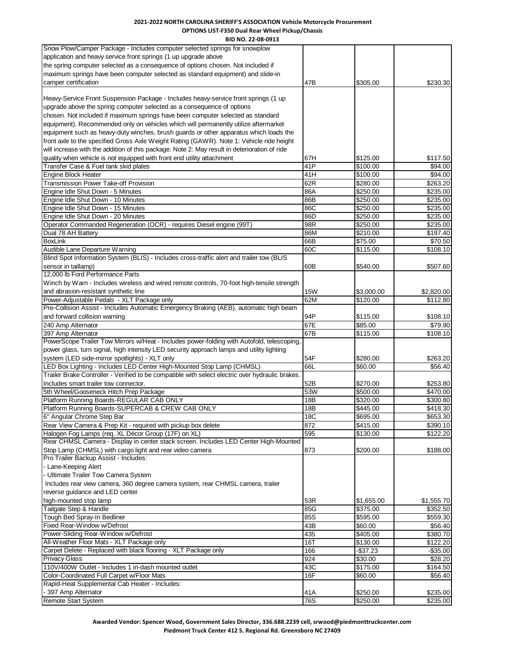**BID NO. 22-08-0913** Snow Plow/Camper Package - Includes computer selected springs for snowplow application and heavy service front springs (1 up upgrade above the spring computer selected as a consequence of options chosen. Not included if maximum springs have been computer selected as standard equipment) and slide-in camper certification  $$305.00$   $$230.30$ Heavy-Service Front Suspension Package - Includes heavy-service front springs (1 up upgrade above the spring computer selected as a consequence of options chosen. Not included if maximum springs have been computer selected as standard equipment). Recommended only on vehicles which will permanently utilize aftermarket equipment such as heavy-duty winches, brush guards or other apparatus which loads the front axle to the specified Gross Axle Weight Rating (GAWR). Note 1: Vehicle ride height will increase with the addition of this package. Note 2: May result in deterioration of ride quality when vehicle is not equipped with front end utility attachment 67H \$125.00 \$117.50 Transfer Case & Fuel tank skid plates **41P**  $\left| \right|$  \$100.00 \$94.00 Engine Block Heater 41H \$100.00 \$94.00 Transmission Power Take-off Provision 62R \$280.00 \$263.20 Engine Idle Shut Down - 5 Minutes and States 86A \$250.00 \$235.00 \$235.00 Engine Idle Shut Down - 10 Minutes 86B \$250.00 \$235.00 Engine Idle Shut Down - 15 Minutes and the Shut Down - 15 Minutes and the Shut Down - 15 Minutes 86C \$250.00 \$235.00<br>
Bugine Idle Shut Down - 20 Minutes and the Shut Down - 20 Minutes and the Shut Down - 20 Minutes and the Engine Idle Shut Down - 20 Minutes 86D \$235.00 \$235.00 \$235.00 Operator Commanded Regeneration (OCR) - requires Diesel engine (99T) 98R \$250.00 \$235.00 Dual 78 AH Battery 86M \$210.00 \$197.40 BoxLink 66B \$75.00 \$70.50 Audible Lane Departure Warning **60C** \$115.00 \$108.10 Blind Spot Information System (BLIS) - Includes cross-traffic alert and trailer tow (BLIS sensor in taillamp) 60B \$540.00 \$507.60 12,000 lb Ford Performance Parts Winch by Warn - Includes wireless and wired remote controls, 70-foot high-tensile strength and abrasion-resistant synthetic line 152,820.00 \$3,000.00 \$2,820.00 \$2,820.00 Power-Adjustable Pedals - XLT Package only 62M 62M \$120.00 \$112.80 Pre-Collision Assist - Includes Automatic Emergency Braking (AEB), automatic high beam and forward collision warning the state of the state of the state of the state of the state of the state of the state of the state of the state of the state of the state of the state of the state of the state of the state 240 Amp Alternator 679.90 \$79.90 \$79.90 \$79.90 \$79.90 \$85.00 \$79.90 \$79.90 \$79.90 \$79.90 \$79.90 \$79.90 \$79.90 397 Amp Alternator 67B \$108.10 PowerScope Trailer Tow Mirrors w/Heat - Includes power-folding with Autofold, telescoping, power glass, turn signal, high intensity LED security approach lamps and utility lighting system (LED side-mirror spotlights) - XLT only 545000 \$280.00 \$283.20 \$283.20 LED Box Lighting - Includes LED Center High-Mounted Stop Lamp (CHMSL) 66L \$60.00 \$66.40 Trailer Brake Controller - Verified to be compatible with select electric over hydraulic brakes. Includes smart trailer tow connector. The second state of the second state of the second state of the second state of the second state of the second state of the second state of the second state of the second state of the 5th Wheel/Gooseneck Hitch Prep Package 53W 53W 53W 5300.00 5370.00 Platform Running Boards-REGULAR CAB ONLY 18B \$320.00 \$300.80 Platform Running Boards-SUPERCAB & CREW CAB ONLY 18B \$445.00 \$418.30 6" Angular Chrome Step Bar 18C \$653.30 \$653.30 Rear View Camera & Prep Kit - required with pickup box delete 872 \$415.00 \$415.00 \$390.10 Halogen Fog Lamps (req. XL Décor Group (17F) on XL) 595 595 \$130.00 \$130.00 \$122.20 Rear CHMSL Camera - Display in center stack screen. Includes LED Center High-Mounted Stop Lamp (CHMSL) with cargo light and rear video camera **873** 873 \$188.00 \$188.00 Pro Trailer Backup Assist - Includes: - Lane-Keeping Alert - Ultimate Trailer Tow Camera System Includes rear view camera, 360 degree camera system, rear CHMSL camera, trailer reverse guidance and LED center high-mounted stop lamp 61,555.70 \$1,555.70 \$1,555.70 \$1,555.70 \$1,555.70 \$1,555.70 \$1,555.70 \$1,555.70 \$1,555 Tailgate Step & Handle \$352.50 \$375.00 \$375.00 \$352.50 Tough Bed Spray-In Bedliner **Contract Contract Contract Contract Contract Contract Contract Contract Contract Contract Contract Contract Contract Contract Contract Contract Contract Contract Contract Contract Contract Cont** Fixed Rear-Window w/Defrost 43B \$60.00 \$56.40 Power-Sliding Rear-Window w/Defrost **435 Account 10 Account 1435 5380.70** \$380.70 All-Weather Floor Mats - XLT Package only 16T 5130.00 \$122.20 Carpet Delete - Replaced with black flooring - XLT Package only 166 166 - 166 - 1687.23 - 166 - \$35.00 Privacy Glass 924 \$30.00 \$28.20 110V/400W Outlet - Includes 1 in-dash mounted outlet **43C** 43C \$175.00 \$164.50 Color-Coordinated Full Carpet w/Floor Mats 16F \$60.00 \$56.40 Rapid-Heat Supplemental Cab Heater - Includes: - 397 Amp Alternator 41A \$235.00 \$235.00 \$235.00 \$235.00 \$235.00 \$235.00 \$235.00 \$235.00 \$235.00 \$235.00 \$235.00 Remote Start System **6.235.00** \$235.00 \$235.00 \$235.00 \$235.00 \$235.00 \$235.00 \$235.00